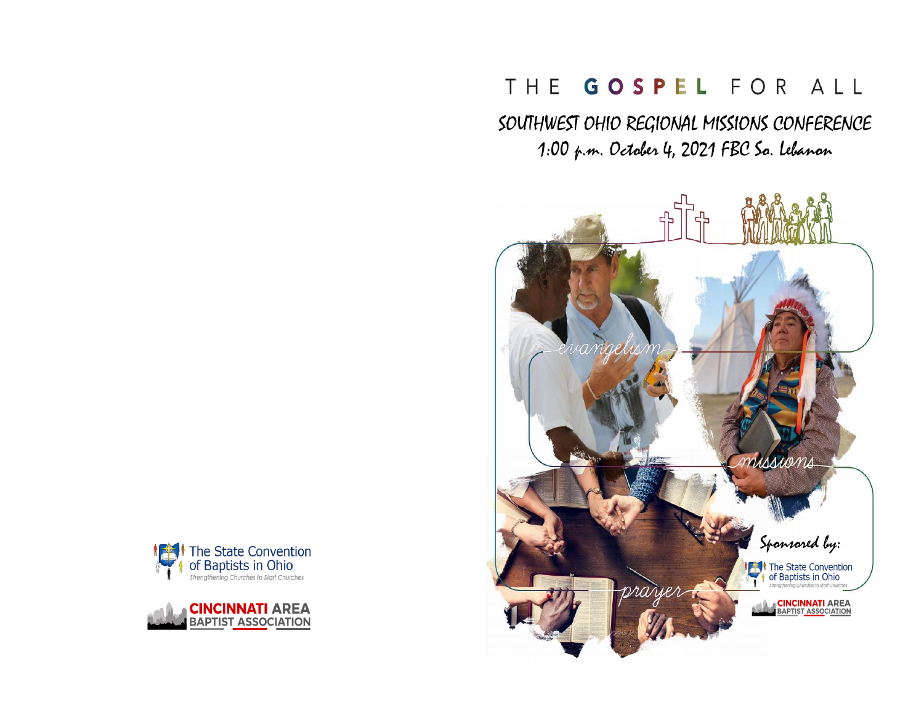# THE GOSPEL FOR ALL

SOUTHWEST OHIO REGIONAL MISSIONS CONFERENCE 1:00 p.m. October 4, 2021 FBC So. Lebanon





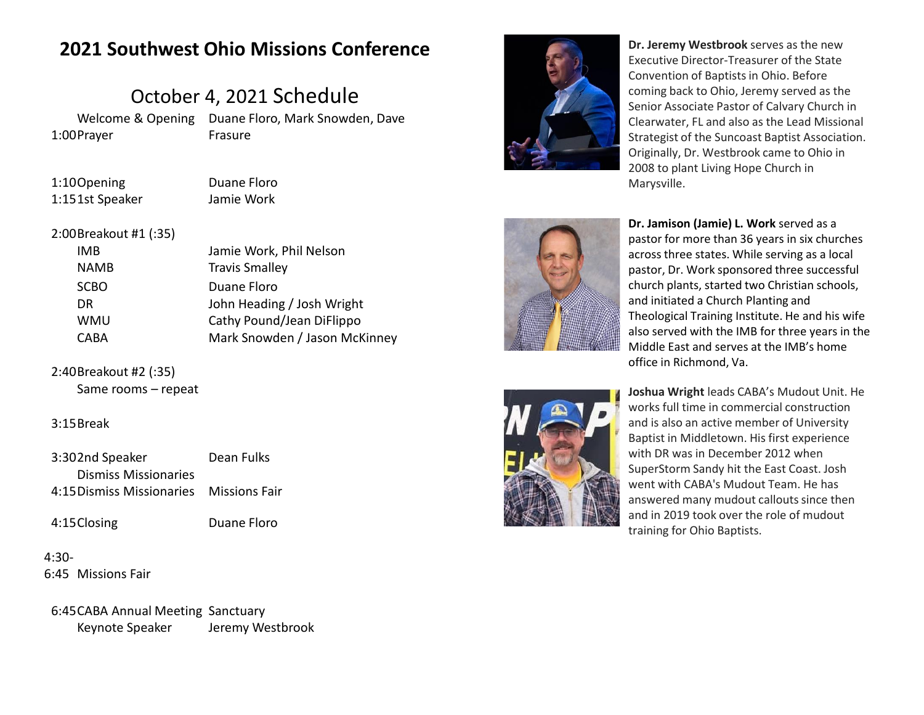## **2021 Southwest Ohio Missions Conference**

## October 4, 2021 Schedule

1:00 Prayer

Welcome & Opening Duane Floro, Mark Snowden, Dave Frasure

1:10Opening Duane Floro 1:151st Speaker Jamie Work

#### 2:00Breakout #1 (:35)

| IMB  | Jamie Work, Phil Nelson       |
|------|-------------------------------|
| NAMB | <b>Travis Smalley</b>         |
| SCBO | Duane Floro                   |
| DR   | John Heading / Josh Wright    |
| WMU  | Cathy Pound/Jean DiFlippo     |
| CABA | Mark Snowden / Jason McKinney |

## 2:40Breakout #2 (:35)

Same rooms – repeat

#### 3:15Break

- 3:302nd Speaker Dean Fulks 4:15 Dismiss Missionaries Missions Fair Dismiss Missionaries
- 

4:15Closing Duane Floro

4:30- 6:45 Missions Fair

6:45CABA Annual Meeting Sanctuary Keynote Speaker Jeremy Westbrook



**Dr. Jeremy Westbrook** serves as the new Executive Director-Treasurer of the State Convention of Baptists in Ohio. Before coming back to Ohio, Jeremy served as the Senior Associate Pastor of Calvary Church in Clearwater, FL and also as the Lead Missional Strategist of the Suncoast Baptist Association. Originally, Dr. Westbrook came to Ohio in 2008 to plant Living Hope Church in Marysville.





**Dr. Jamison (Jamie) L. Work** served as a pastor for more than 36 years in six churches across three states. While serving as a local pastor, Dr. Work sponsored three successful church plants, started two Christian schools, and initiated a Church Planting and Theological Training Institute. He and his wife also served with the IMB for three years in the Middle East and serves at the IMB's home office in Richmond, Va.

**Joshua Wright** leads CABA's Mudout Unit. He works full time in commercial construction and is also an active member of University Baptist in Middletown. His first experience with DR was in December 2012 when SuperStorm Sandy hit the East Coast. Josh went with CABA's Mudout Team. He has answered many mudout callouts since then and in 2019 took over the role of mudout training for Ohio Baptists.